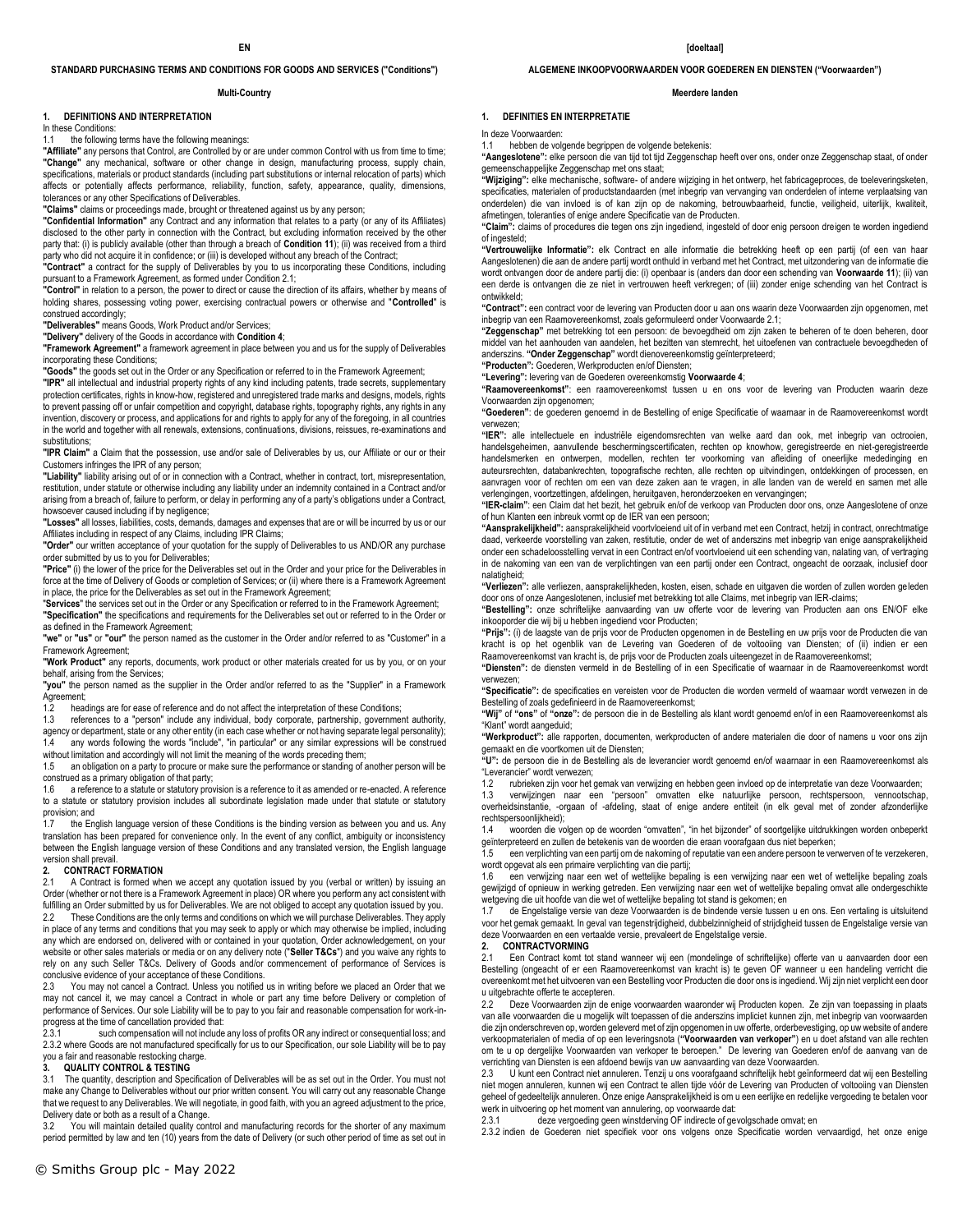### **STANDARD PURCHASING TERMS AND CONDITIONS FOR GOODS AND SERVICES ("Conditions")**

#### **Multi-Country**

## **1. DEFINITIONS AND INTERPRETATION**

In these Conditions:

### the following terms have the following meanings:

**"Affiliate"** any persons that Control, are Controlled by or are under common Control with us from time to time; **"Change"** any mechanical, software or other change in design, manufacturing process, supply chain, specifications, materials or product standards (including part substitutions or internal relocation of parts) which affects or potentially affects performance, reliability, function, safety, appearance, quality, dimensions, tolerances or any other Specifications of Deliverables.

**"Claims"** claims or proceedings made, brought or threatened against us by any person;

**"Confidential Information"** any Contract and any information that relates to a party (or any of its Affiliates) disclosed to the other party in connection with the Contract, but excluding information received by the other party that: (i) is publicly available (other than through a breach of **Condition 11**); (ii) was received from a third party who did not acquire it in confidence; or (iii) is developed without any breach of the Contract;

**"Contract"** a contract for the supply of Deliverables by you to us incorporating these Conditions, including pursuant to a Framework Agreement, as formed under Condition 2.1;

**"Control"** in relation to a person, the power to direct or cause the direction of its affairs, whether by means of holding shares, possessing voting power, exercising contractual powers or otherwise and "**Controlled**" is construed accordingly;

**"Deliverables"** means Goods, Work Product and/or Services;

**"Delivery"** delivery of the Goods in accordance with **Condition 4**;

**"Framework Agreement"** a framework agreement in place between you and us for the supply of Deliverables incorporating these Conditions;

**"Goods"** the goods set out in the Order or any Specification or referred to in the Framework Agreement;

**"IPR"** all intellectual and industrial property rights of any kind including patents, trade secrets, supplementary protection certificates, rights in know-how, registered and unregistered trade marks and designs, models, rights to prevent passing off or unfair competition and copyright, database rights, topography rights, any rights in any invention, discovery or process, and applications for and rights to apply for any of the foregoing, in all countries in the world and together with all renewals, extensions, continuations, divisions, reissues, re-examinations and substitutions:

**"IPR Claim"** a Claim that the possession, use and/or sale of Deliverables by us, our Affiliate or our or their Customers infringes the IPR of any person;

**"Liability"** liability arising out of or in connection with a Contract, whether in contract, tort, misrepresentation, restitution, under statute or otherwise including any liability under an indemnity contained in a Contract and/or arising from a breach of, failure to perform, or delay in performing any of a party's obligations under a Contract, howsoever caused including if by negligence:

**"Losses"** all losses, liabilities, costs, demands, damages and expenses that are or will be incurred by us or our Affiliates including in respect of any Claims, including IPR Claims;

**"Order"** our written acceptance of your quotation for the supply of Deliverables to us AND/OR any purchase order submitted by us to you for Deliverables;

**"Price"** (i) the lower of the price for the Deliverables set out in the Order and your price for the Deliverables in force at the time of Delivery of Goods or completion of Services; or (ii) where there is a Framework Agreement in place, the price for the Deliverables as set out in the Framework Agreement;

"**Services**" the services set out in the Order or any Specification or referred to in the Framework Agreement; **"Specification"** the specifications and requirements for the Deliverables set out or referred to in the Order or

as defined in the Framework Agreement; **"we"** or **"us"** or **"our"** the person named as the customer in the Order and/or referred to as "Customer" in a

Framework Agreement; **"Work Product"** any reports, documents, work product or other materials created for us by you, or on your behalf, arising from the Services;

**"you"** the person named as the supplier in the Order and/or referred to as the "Supplier" in a Framework Agreement;

1.2 headings are for ease of reference and do not affect the interpretation of these Conditions;

1.3 references to a "person" include any individual, body corporate, partnership, government authority, agency or department, state or any other entity (in each case whether or not having separate legal personality); any words following the words "include", "in particular" or any similar expressions will be construed

without limitation and accordingly will not limit the meaning of the words preceding them; 1.5 an obligation on a party to procure or make sure the performance or standing of another person will be

construed as a primary obligation of that party; 1.6 a reference to a statute or statutory provision is a reference to it as amended or re-enacted. A reference

to a statute or statutory provision includes all subordinate legislation made under that statute or statutory provision; and 1.7 the English language version of these Conditions is the binding version as between you and us. Any

translation has been prepared for convenience only. In the event of any conflict, ambiguity or inconsistency between the English language version of these Conditions and any translated version, the English language version shall prevail.<br>2. **CONTRACT F** 

### **2. CONTRACT FORMATION**

2.1 A Contract is formed when we accept any quotation issued by you (verbal or written) by issuing an Order (whether or not there is a Framework Agreement in place) OR where you perform any act consistent with fulfilling an Order submitted by us for Deliverables. We are not obliged to accept any quotation issued by you.

2.2 These Conditions are the only terms and conditions on which we will purchase Deliverables. They apply in place of any terms and conditions that you may seek to apply or which may otherwise be implied, including any which are endorsed on, delivered with or contained in your quotation, Order acknowledgement, on your website or other sales materials or media or on any delivery note ("**Seller T&Cs**") and you waive any rights to rely on any such Seller T&Cs. Delivery of Goods and/or commencement of performance of Services is conclusive evidence of your acceptance of these Conditions.

2.3 You may not cancel a Contract. Unless you notified us in writing before we placed an Order that we may not cancel it, we may cancel a Contract in whole or part any time before Delivery or completion of performance of Services. Our sole Liability will be to pay to you fair and reasonable compensation for work-inprogress at the time of cancellation provided that:<br>2.3.1 such compensation will not include

such compensation will not include any loss of profits OR any indirect or consequential loss; and 2.3.2 where Goods are not manufactured specifically for us to our Specification, our sole Liability will be to pay you a fair and reasonable restocking charge.

## **3. QUALITY CONTROL & TESTING**<br>**3.1** The quantity description and Spec

The quantity, description and Specification of Deliverables will be as set out in the Order. You must not make any Change to Deliverables without our prior written consent. You will carry out any reasonable Change that we request to any Deliverables. We will negotiate, in good faith, with you an agreed adjustment to the price, Delivery date or both as a result of a Change.

.<br>You will maintain detailed quality control and manufacturing records for the shorter of any maximum period permitted by law and ten (10) years from the date of Delivery (or such other period of time as set out in

## **ALGEMENE INKOOPVOORWAARDEN VOOR GOEDEREN EN DIENSTEN ("Voorwaarden")**

#### **Meerdere landen**

## **1. DEFINITIES EN INTERPRETATIE**

In deze Voorwaarden:

1.1 hebben de volgende begrippen de volgende betekenis: **"Aangeslotene":** elke persoon die van tijd tot tijd Zeggenschap heeft over ons, onder onze Zeggenschap staat, of onder gemeenschappelijke Zeggenschap met ons staat;

**"Wijziging":** elke mechanische, software- of andere wijziging in het ontwerp, het fabricageproces, de toeleveringsketen, specificaties, materialen of productstandaarden (met inbegrip van vervanging van onderdelen of interne verplaats onderdelen) die van invloed is of kan zijn op de nakoming, betrouwbaarheid, functie, veiligheid, uiterlijk, kwaliteit, afmetingen, toleranties of enige andere Specificatie van de Producten.

**"Claim":** claims of procedures die tegen ons zijn ingediend, ingesteld of door enig persoon dreigen te worden ingediend of ingesteld;

**"Vertrouwelijke Informatie":** elk Contract en alle informatie die betrekking heeft op een partij (of een van haar Aangeslotenen) die aan de andere partij wordt onthuld in verband met het Contract, met uitzondering van de informatie die wordt ontvangen door de andere partij die: (i) openbaar is (anders dan door een schending van **Voorwaarde 11**); (ii) van een derde is ontvangen die ze niet in vertrouwen heeft verkregen; of (iii) zonder enige schending van het Contract is ontwikkeld;

**"Contract":** een contract voor de levering van Producten door u aan ons waarin deze Voorwaarden zijn opgenomen, met inbegrip van een Raamovereenkomst, zoals geformuleerd onder Voorwaarde 2.1;

**"Zeggenschap"** met betrekking tot een persoon: de bevoegdheid om zijn zaken te beheren of te doen beheren, door middel van het aanhouden van aandelen, het bezitten van stemrecht, het uitoefenen van contractuele bevoegdheden of anderszins. **"Onder Zeggenschap"** wordt dienovereenkomstig geïnterpreteerd;

**"Producten":** Goederen, Werkproducten en/of Diensten;

**"Levering":** levering van de Goederen overeenkomstig **Voorwaarde 4**;

**"Raamovereenkomst"**: een raamovereenkomst tussen u en ons voor de levering van Producten waarin deze Voorwaarden zijn opgenomen;

**"Goederen"**: de goederen genoemd in de Bestelling of enige Specificatie of waarnaar in de Raamovereenkomst wordt verwezen;

**"IER":** alle intellectuele en industriële eigendomsrechten van welke aard dan ook, met inbegrip van octrooien, handelsgeheimen, aanvullende beschermingscertificaten, rechten op knowhow, geregistreerde en niet-geregistreerde handelsmerken en ontwerpen, modellen, rechten ter voorkoming van afleiding of oneerlijke mededinging en auteursrechten, databankrechten, topografische rechten, alle rechten op uitvindingen, ontdekkingen of processen, en aanvragen voor of rechten om een van deze zaken aan te vragen, in alle landen van de wereld en samen met alle verlengingen, voortzettingen, afdelingen, heruitgaven, heronderzoeken en vervangingen;

**"IER-claim"**: een Claim dat het bezit, het gebruik en/of de verkoop van Producten door ons, onze Aangeslotene of onze of hun Klanten een inbreuk vormt op de IER van een persoon;

**"Aansprakelijkheid":** aansprakelijkheid voortvloeiend uit of in verband met een Contract, hetzij in contract, onrechtmatige daad, verkeerde voorstelling van zaken, restitutie, onder de wet of anderszins met inbegrip van enige aansprakelijkheid onder een schadeloosstelling vervat in een Contract en/of voortvloeiend uit een schending van, nalating van, of vertraging in de nakoming van een van de verplichtingen van een partij onder een Contract, ongeacht de oorzaak, inclusief door nalatigheid;

**"Verliezen":** alle verliezen, aansprakelijkheden, kosten, eisen, schade en uitgaven die worden of zullen worden geleden door ons of onze Aangeslotenen, inclusief met betrekking tot alle Claims, met inbegrip van IER-claims;

**"Bestelling":** onze schriftelijke aanvaarding van uw offerte voor de levering van Producten aan ons EN/OF elke inkooporder die wij bij u hebben ingediend voor Producten;

**"Prijs":** (i) de laagste van de prijs voor de Producten opgenomen in de Bestelling en uw prijs voor de Producten die van kracht is op het ogenblik van de Levering van Goederen of de voltooiing van Diensten; of (ii) indien er een Raamovereenkomst van kracht is, de prijs voor de Producten zoals uiteengezet in de Raamovereenkomst;

**"Diensten":** de diensten vermeld in de Bestelling of in een Specificatie of waarnaar in de Raamovereenkomst wordt verwezen; **"Specificatie":** de specificaties en vereisten voor de Producten die worden vermeld of waarnaar wordt verwezen in de

Bestelling of zoals gedefinieerd in de Raamovereenkomst;

**"Wij"** of **"ons"** of **"onze":** de persoon die in de Bestelling als klant wordt genoemd en/of in een Raamovereenkomst als "Klant" wordt aangeduid;

**"Werkproduct":** alle rapporten, documenten, werkproducten of andere materialen die door of namens u voor ons zijn gemaakt en die voortkomen uit de Diensten;

**"U":** de persoon die in de Bestelling als de leverancier wordt genoemd en/of waarnaar in een Raamovereenkomst als "Leverancier" wordt verwezen;<br>12 muhrieken zijn voor het

1.2 rubrieken zijn voor het gemak van verwijzing en hebben geen invloed op de interpretatie van deze Voorwaarden;

1.3 verwijzingen naar een "persoon" omvatten elke natuurlijke persoon, rechtspersoon, vennootschap, overheidsinstantie, -orgaan of -afdeling, staat of enige andere entiteit (in elk geval met of zonder afzonderlijke rechtspersoonlijkheid);

1.4 woorden die volgen op de woorden "omvatten", "in het bijzonder" of soortgelijke uitdrukkingen worden onbeperkt geïnterpreteerd en zullen de betekenis van de worden die eraan voorafgaan dus niet beperken;<br>1.5 een verplichting van een namij van de woorden die eraan voorafgaan dus niet beperken;

een verplichting van een partij om de nakoming of reputatie van een andere persoon te verwerven of te verzekeren, wordt opgevat als een primaire verplichting van die partij;

1.6 een verwijzing naar een wet of wettelijke bepaling is een verwijzing naar een wet of wettelijke bepaling zoals gewijzigd of opnieuw in werking getreden. Een verwijzing naar een wet of wettelijke bepaling omvat alle ondergeschikte wetgeving die uit hoofde van die wet of wettelijke bepaling tot stand is gekomen; en

1.7 de Engelstalige versie van deze Voorwaarden is de bindende versie tussen u en ons. Een vertaling is uitsluitend voor het gemak gemaakt. In geval van tegenstrijdigheid, dubbelzinnigheid of strijdigheid tussen de Engelstalige versie van deze Voorwaarden en een vertaalde versie, prevaleert de Engelstalige versie.

### **2. CONTRACTVORMING**

2.1 Een Contract komt tot stand wanneer wij een (mondelinge of schriftelijke) offerte van u aanvaarden door een Bestelling (ongeacht of er een Raamovereenkomst van kracht is) te geven OF wanneer u een handeling verricht die overeenkomt met het uitvoeren van een Bestelling voor Producten die door ons is ingediend. Wij zijn niet verplicht een door u uitgebrachte offerte te accepteren.

2.2 Deze Voorwaarden zijn de enige voorwaarden waaronder wij Producten kopen. Ze zijn van toepassing in plaats van alle voorwaarden die u mogelijk wilt toepassen of die anderszins impliciet kunnen zijn, met inbegrip van voorwaarden die zijn onderschreven op, worden geleverd met of zijn opgenomen in uw offerte, orderbevestiging, op uw website of andere verkoopmaterialen of media of op een leveringsnota (**"Voorwaarden van verkoper"**) en u doet afstand van alle rechten om te u op dergelijke Voorwaarden van verkoper te beroepen." De levering van Goederen en/of de aanvang van de verrichting van Diensten is een afdoend bewijs van uw aanvaarding van deze Voorwaarden.<br>2.3. Li kunt een Contract niet annuleren. Tenzij u ons voorafgaand schriftelijk hebt geïnfr

2.3 U kunt een Contract niet annuleren. Tenzij u ons voorafgaand schriftelijk hebt geïnformeerd dat wij een Bestelling niet mogen annuleren, kunnen wij een Contract te allen tijde vóór de Levering van Producten of voltooiing van Diensten geheel of gedeeltelijk annuleren. Onze enige Aansprakelijkheid is om u een eerlijke en redelijke vergoeding te betalen voor werk in uitvoering op het moment van annulering, op voorwaarde dat:

2.3.1 deze vergoeding geen winstderving OF indirecte of gevolgschade omvat; en

2.3.2 indien de Goederen niet specifiek voor ons volgens onze Specificatie worden vervaardigd, het onze enige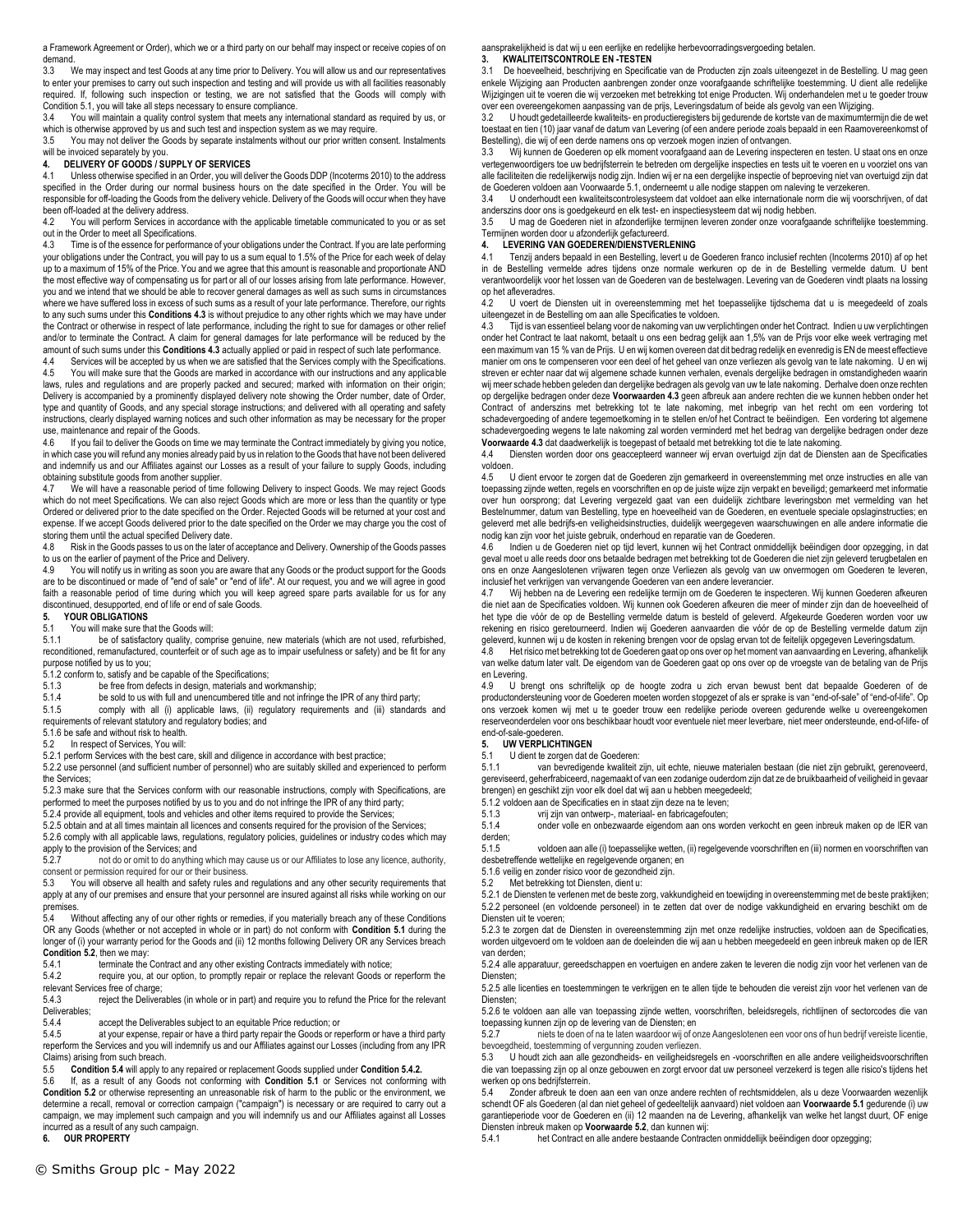a Framework Agreement or Order), which we or a third party on our behalf may inspect or receive copies of on demand.

3.3 We may inspect and test Goods at any time prior to Delivery. You will allow us and our representatives to enter your premises to carry out such inspection and testing and will provide us with all facilities reasonably required. If, following such inspection or testing, we are not satisfied that the Goods will comply with Condition 5.1, you will take all steps necessary to ensure compliance.

3.4 You will maintain a quality control system that meets any international standard as required by us, or which is otherwise approved by us and such test and inspection system as we may require.

3.5 You may not deliver the Goods by separate instalments without our prior written consent. Instalments will be invoiced separately by you.

# **4. DELIVERY OF GOODS / SUPPLY OF SERVICES**

Unless otherwise specified in an Order, you will deliver the Goods DDP (Incoterms 2010) to the address specified in the Order during our normal business hours on the date specified in the Order. You will be responsible for off-loading the Goods from the delivery vehicle. Delivery of the Goods will occur when they have been off-loaded at the delivery address.<br>4.2 You will perform Services in acc

You will perform Services in accordance with the applicable timetable communicated to you or as set out in the Order to meet all Specifications.

4.3 Time is of the essence for performance of your obligations under the Contract. If you are late performing your obligations under the Contract, you will pay to us a sum equal to 1.5% of the Price for each week of delay up to a maximum of 15% of the Price. You and we agree that this amount is reasonable and proportionate AND the most effective way of compensating us for part or all of our losses arising from late performance. However, you and we intend that we should be able to recover general damages as well as such sums in circumstances where we have suffered loss in excess of such sums as a result of your late performance. Therefore, our rights to any such sums under this **Conditions 4.3** is without prejudice to any other rights which we may have under the Contract or otherwise in respect of late performance, including the right to sue for damages or other relief and/or to terminate the Contract. A claim for general damages for late performance will be reduced by the amount of such sums under this **Conditions 4.3** actually applied or paid in respect of such late performance.

4.4 Services will be accepted by us when we are satisfied that the Services comply with the Specifications.<br>4.5 You will make sure that the Goods are marked in accordance with our instructions and any applicable You will make sure that the Goods are marked in accordance with our instructions and any applicable

laws, rules and regulations and are properly packed and secured; marked with information on their origin; Delivery is accompanied by a prominently displayed delivery note showing the Order number, date of Order, type and quantity of Goods, and any special storage instructions; and delivered with all operating and safety instructions, clearly displayed warning notices and such other information as may be necessary for the proper use, maintenance and repair of the Goods.<br>4.6 If you fail to deliver the Goods on tin

If you fail to deliver the Goods on time we may terminate the Contract immediately by giving you notice, in which case you will refund any monies already paid by us in relation to the Goods that have not been delivered and indemnify us and our Affiliates against our Losses as a result of your failure to supply Goods, including obtaining substitute goods from another supplier.<br>4.7 We will have a reasonable period of time

We will have a reasonable period of time following Delivery to inspect Goods. We may reject Goods which do not meet Specifications. We can also reject Goods which are more or less than the quantity or type Ordered or delivered prior to the date specified on the Order. Rejected Goods will be returned at your cost and expense. If we accept Goods delivered prior to the date specified on the Order we may charge you the cost of storing them until the actual specified Delivery date.

4.8 Risk in the Goods passes to us on the later of acceptance and Delivery. Ownership of the Goods passes to us on the earlier of payment of the Price and Delivery.<br>4.9 You will notify us in writing as soon you are aware

You will notify us in writing as soon you are aware that any Goods or the product support for the Goods are to be discontinued or made of "end of sale" or "end of life". At our request, you and we will agree in good faith a reasonable period of time during which you will keep agreed spare parts available for us for any discontinued, desupported, end of life or end of sale Goods.

## **5. YOUR OBLIGATIONS**

## 5.1 You will make sure that the Goods will:<br>5.1.1 be of satisfactory quality comp

be of satisfactory quality, comprise genuine, new materials (which are not used, refurbished, reconditioned, remanufactured, counterfeit or of such age as to impair usefulness or safety) and be fit for any purpose notified by us to you;

5.1.2 conform to, satisfy and be capable of the Specifications;<br>5.1.3 be free from defects in design. materials and w

be free from defects in design, materials and workmanship;

5.1.4 be sold to us with full and unencumbered title and not infringe the IPR of any third party;

5.1.5 comply with all (i) applicable laws, (ii) regulatory requirements and (iii) standards and

requirements of relevant statutory and regulatory bodies; and

5.1.6 be safe and without risk to health.<br>5.2 In respect of Services, You will:

In respect of Services, You will:

5.2.1 perform Services with the best care, skill and diligence in accordance with best practice; 5.2.2 use personnel (and sufficient number of personnel) who are suitably skilled and experienced to perform

the Services; 5.2.3 make sure that the Services conform with our reasonable instructions, comply with Specifications, are

performed to meet the purposes notified by us to you and do not infringe the IPR of any third party; 5.2.4 provide all equipment, tools and vehicles and other items required to provide the Services;

5.2.5 obtain and at all times maintain all licences and consents required for the provision of the Services;

5.2.6 comply with all applicable laws, regulations, regulatory policies, guidelines or industry codes which may

apply to the provision of the Services; and<br>5.2.7 post do or omit to do anything not do or omit to do anything which may cause us or our Affiliates to lose any licence, authority, consent or permission required for our or their business.<br>5.3 You will observe all health and safety rules and

You will observe all health and safety rules and regulations and any other security requirements that apply at any of our premises and ensure that your personnel are insured against all risks while working on our premises.

5.4 Without affecting any of our other rights or remedies, if you materially breach any of these Conditions OR any Goods (whether or not accepted in whole or in part) do not conform with **Condition 5.1** during the longer of (i) your warranty period for the Goods and (ii) 12 months following Delivery OR any Services breach **Condition 5.2**, then we may:<br>5.4.1 terminate the

5.4.1 terminate the Contract and any other existing Contracts immediately with notice;<br>5.4.2 require vou, at our option, to promptly repair or replace the relevant Goods or

require you, at our option, to promptly repair or replace the relevant Goods or reperform the relevant Services free of charge;

5.4.3 reject the Deliverables (in whole or in part) and require you to refund the Price for the relevant Deliverables;<br>5.4.4

5.4.4 accept the Deliverables subject to an equitable Price reduction; or 5.4.5 at your expense, repair or have a third party repair the Goods or re

at your expense, repair or have a third party repair the Goods or reperform or have a third party reperform the Services and you will indemnify us and our Affiliates against our Losses (including from any IPR Claims) arising from such breach.<br>5.5 Condition 5.4 will annly to

5.5 **Condition 5.4** will apply to any repaired or replacement Goods supplied under **Condition 5.4.2.**

If, as a result of any Goods not conforming with **Condition 5.1** or Services not conforming with **Condition 5.2** or otherwise representing an unreasonable risk of harm to the public or the environment, we determine a recall, removal or correction campaign ("campaign") is necessary or are required to carry out a campaign, we may implement such campaign and you will indemnify us and our Affiliates against all Losses incurred as a result of any such campaign.

**6. OUR PROPERTY**

## aansprakelijkheid is dat wij u een eerlijke en redelijke herbevoorradingsvergoeding betalen.

## **3. KWALITEITSCONTROLE EN -TESTEN**

3.1 De hoeveelheid, beschrijving en Specificatie van de Producten zijn zoals uiteengezet in de Bestelling. U mag geen enkele Wijziging aan Producten aanbrengen zonder onze voorafgaande schriftelijke toestemming. U dient alle redelijke Wijzigingen uit te voeren die wij verzoeken met betrekking tot enige Producten. Wij onderhandelen met u te goeder trouw over een overeengekomen aanpassing van de prijs, Leveringsdatum of beide als gevolg van een Wijziging.

3.2 U houdt gedetailleerde kwaliteits- en productieregisters bij gedurende de kortste van de maximumtermijn die de wet toestaat en tien (10) jaar vanaf de datum van Levering (of een andere periode zoals bepaald in een Raamovereenkomst of Bestelling), die wij of een derde namens ons op verzoek mogen inzien of ontvangen.<br>3.3. Wij kunnen de Goederen op elk moment voorafgaand aan de Levering inspe

Wij kunnen de Goederen op elk moment voorafgaand aan de Levering inspecteren en testen. U staat ons en onze vertegenwoordigers toe uw bedrijfsterrein te betreden om dergelijke inspecties en tests uit te voeren en u voorziet ons van alle faciliteiten die redelijkerwijs nodig zijn. Indien wij er na een dergelijke inspectie of beproeving niet van overtuigd zijn dat de Goederen voldoen aan Voorwaarde 5.1, onderneemt u alle nodige stappen om naleving te verzekeren.

3.4 U onderhoudt een kwaliteitscontrolesysteem dat voldoet aan elke internationale norm die wij voorschrijven, of dat anderszins door ons is goedgekeurd en elk test- en inspectiesysteem dat wij nodig hebben.

U mag de Goederen niet in afzonderlijke termijnen leveren zonder onze voorafgaande schriftelijke toestemming. Termijnen worden door u afzonderlijk gefactureerd.

#### **4. LEVERING VAN GOEDEREN/DIENSTVERLENING**

4.1 Tenzij anders bepaald in een Bestelling, levert u de Goederen franco inclusief rechten (Incoterms 2010) af op het in de Bestelling vermelde adres tijdens onze normale werkuren op de in de Bestelling vermelde datum. U bent verantwoordelijk voor het lossen van de Goederen van de bestelwagen. Levering van de Goederen vindt plaats na lossing op het afleveradres.

4.2 U voert de Diensten uit in overeenstemming met het toepasselijke tijdschema dat u is meegedeeld of zoals uiteengezet in de Bestelling om aan alle Specificaties te voldoen.

4.3 Tijd is van essentieel belang voor de nakoming van uw verplichtingen onder het Contract. Indien u uw verplichtingen onder het Contract te laat nakomt, betaalt u ons een bedrag gelijk aan 1,5% van de Prijs voor elke week vertraging met een maximum van 15 % van de Prijs. U en wij komen overeen dat dit bedrag redelijk en evenredig is EN de meest effectieve manier om ons te compenseren voor een deel of het geheel van onze verliezen als gevolg van te late nakoming. U en wij streven er echter naar dat wij algemene schade kunnen verhalen, evenals dergelijke bedragen in omstandigheden waarin wij meer schade hebben geleden dan dergelijke bedragen als gevolg van uw te late nakoming. Derhalve doen onze rechten op dergelijke bedragen onder deze **Voorwaarden 4.3** geen afbreuk aan andere rechten die we kunnen hebben onder het Contract of anderszins met betrekking tot te late nakoming, met inbegrip van het recht om een vordering tot<br>schadevergoeding ofandere tegemoetkoming in te stellen en/ofhet Contract te beëindigen. Een vordering tot algemene schadevergoeding wegens te late nakoming zal worden verminderd met het bedrag van dergelijke bedragen onder deze **Voorwaarde 4.3** dat daadwerkelijk is toegepast of betaald met betrekking tot die te late nakoming.

4.4 Diensten worden door ons geaccepteerd wanneer wij ervan overtuigd zijn dat de Diensten aan de Specificaties voldoen.<br>45

4.5 U dient ervoor te zorgen dat de Goederen zijn gemarkeerd in overeenstemming met onze instructies en alle van toepassing zijnde wetten, regels en voorschriften en op de juiste wijze zijn verpakt en beveiligd; gemarkeerd met informatie over hun oorsprong; dat Levering vergezeld gaat van een duidelijk zichtbare leveringsbon met vermelding van het Bestelnummer, datum van Bestelling, type en hoeveelheid van de Goederen, en eventuele speciale opslaginstructies; en geleverd met alle bedrijfs-en veiligheidsinstructies, duidelijk weergegeven waarschuwingen en alle andere informatie die nodig kan zijn voor het juiste gebruik, onderhoud en reparatie van de Goederen.

4.6 Indien u de Goederen niet op tijd levert, kunnen wij het Contract onmiddellijk beëindigen door opzegging, in dat geval moet u alle reeds door ons betaalde bedragen met betrekking tot de Goederen die niet zijn geleverd terugbetalen en ons en onze Aangeslotenen vrijwaren tegen onze Verliezen als gevolg van uw onvermogen om Goederen te leveren, inclusief het verkrijgen van vervangende Goederen van een andere leverancier.

4.7 Wij hebben na de Levering een redelijke termijn om de Goederen te inspecteren. Wij kunnen Goederen afkeuren die niet aan de Specificaties voldoen. Wij kunnen ook Goederen afkeuren die meer of minder zijn dan de hoeveelheid of het type die vóór de op de Bestelling vermelde datum is besteld of geleverd. Afgekeurde Goederen worden voor uw rekening en risico geretourneerd. Indien wij Goederen aanvaarden die vóór de op de Bestelling vermelde datum zijn geleverd, kunnen wij u de kosten in rekening brengen voor de opslag ervan tot de feitelijk opgegeven Leveringsdatum.<br>4.8. Het risico met betrekking tot de Goederen gaat op ops over op het moment van aanvaarding en Lev

Het risico met betrekking tot de Goederen gaat op ons over op het moment van aanvaarding en Levering, afhankelijk van welke datum later valt. De eigendom van de Goederen gaat op ons over op de vroegste van de betaling van de Prijs en Levering.<br>4.9 U bi

U brengt ons schriftelijk op de hoogte zodra u zich ervan bewust bent dat bepaalde Goederen of de productondersteuning voor de Goederen moeten worden stopgezet of als er sprake is van "end-of-sale" of "end-of-life". Op ons verzoek komen wij met u te goeder trouw een redelijke periode overeen gedurende welke u overeengekomen reserveonderdelen voor ons beschikbaar houdt voor eventuele niet meer leverbare, niet meer ondersteunde, end-of-life- of end-of-sale-goederen.

## **5. UW VERPLICHTINGEN**

5.1 U dient te zorgen dat de Goederen:<br>5.1.1 van bevredigende kwaliteit a

van bevredigende kwaliteit zijn, uit echte, nieuwe materialen bestaan (die niet zijn gebruikt, gerenoveerd, gereviseerd, geherfrabiceerd, nagemaakt of van een zodanige ouderdom zijn dat ze de bruikbaarheid of veiligheid in gevaar brengen) en geschikt zijn voor elk doel dat wij aan u hebben meegedeeld;

5.1.2 voldoen aan de Specificaties en in staat zijn deze na te leven;

5.1.3 vrij zijn van ontwerp-, materiaal- en fabricagefouten;

5.1.4 onder volle en onbezwaarde eigendom aan ons worden verkocht en geen inbreuk maken op de IER van derden;

5.1.5 voldoen aan alle (i) toepasselijke wetten, (ii) regelgevende voorschriften en (iii) normen en voorschriften van desbetreffende wettelijke en regelgevende organen; en

5.1.6 veilig en zonder risico voor de gezondheid zijn.

5.2 Met betrekking tot Diensten, dient u:

5.2.1 de Diensten te verlenen met de beste zorg, vakkundigheid en toewijding in overeenstemming met de beste praktijken; 5.2.2 personeel (en voldoende personeel) in te zetten dat over de nodige vakkundigheid en ervaring beschikt om de Diensten uit te voeren;

5.2.3 te zorgen dat de Diensten in overeenstemming zijn met onze redelijke instructies, voldoen aan de Specificaties, worden uitgevoerd om te voldoen aan de doeleinden die wij aan u hebben meegedeeld en geen inbreuk maken op de IER van derden;

5.2.4 alle apparatuur, gereedschappen en voertuigen en andere zaken te leveren die nodig zijn voor het verlenen van de Diensten;

5.2.5 alle licenties en toestemmingen te verkrijgen en te allen tijde te behouden die vereist zijn voor het verlenen van de Diensten;

5.2.6 te voldoen aan alle van toepassing zijnde wetten, voorschriften, beleidsregels, richtlijnen of sectorcodes die van toepassing kunnen zijn op de levering van de Diensten; en

5.2.7 niets te doen of na te laten waardoor wij of onze Aangeslotenen een voor ons of hun bedrijf vereiste licentie, bevoegdheid, toestemming of vergunning zouden verliezen.<br>5.3. Li houdt zich aan alle gezondheids- en veiligheidsre

5.3 U houdt zich aan alle gezondheids- en veiligheidsregels en -voorschriften en alle andere veiligheidsvoorschriften die van toepassing zijn op al onze gebouwen en zorgt ervoor dat uw personeel verzekerd is tegen alle risico's tijdens het werken op ons bedrijfsterrein.<br>5.4. Zonder afbreuk te doe

Zonder afbreuk te doen aan een van onze andere rechten of rechtsmiddelen, als u deze Voorwaarden wezenlijk schendt OF als Goederen (al dan niet geheel of gedeeltelijk aanvaard) niet voldoen aan **Voorwaarde 5.1** gedurende (i) uw garantieperiode voor de Goederen en (ii) 12 maanden na de Levering, afhankelijk van welke het langst duurt, OF enige Diensten inbreuk maken op **Voorwaarde 5.2**, dan kunnen wij:

het Contract en alle andere bestaande Contracten onmiddellijk beëindigen door opzegging;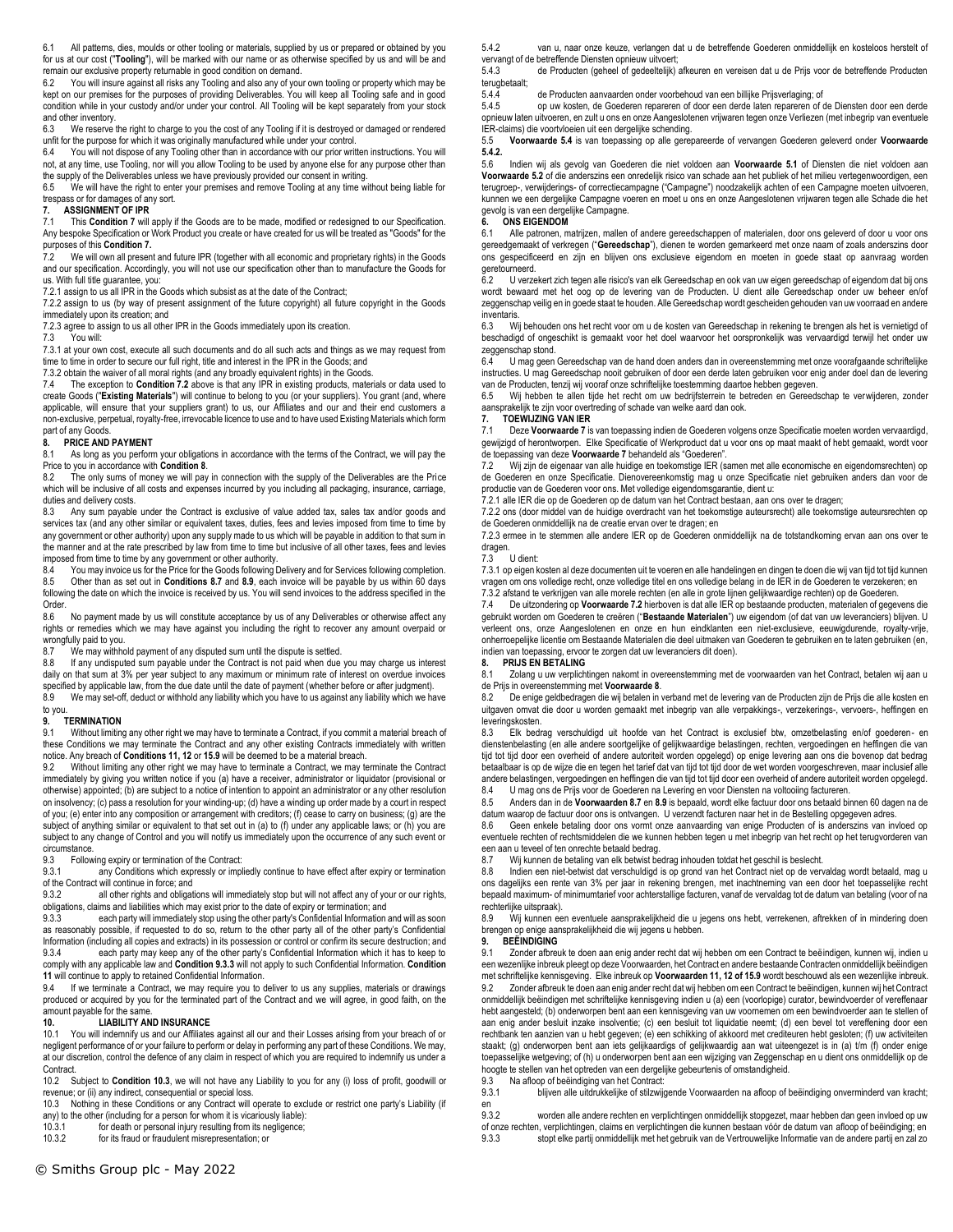6.1 All patterns, dies, moulds or other tooling or materials, supplied by us or prepared or obtained by you for us at our cost ("**Tooling**"), will be marked with our name or as otherwise specified by us and will be and remain our exclusive property returnable in good condition on demand.<br>6.2 You will insure against all risks any Tooling and also any of you

You will insure against all risks any Tooling and also any of your own tooling or property which may be kept on our premises for the purposes of providing Deliverables. You will keep all Tooling safe and in good condition while in your custody and/or under your control. All Tooling will be kept separately from your stock and other inventory.

6.3 We reserve the right to charge to you the cost of any Tooling if it is destroyed or damaged or rendered unfit for the purpose for which it was originally manufactured while under your control.<br>6.4 You will not dispose of any Tooling other than in accordance with our prior writ

You will not dispose of any Tooling other than in accordance with our prior written instructions. You will not, at any time, use Tooling, nor will you allow Tooling to be used by anyone else for any purpose other than the supply of the Deliverables unless we have previously provided our consent in writing.

6.5 We will have the right to enter your premises and remove Tooling at any time without being liable for trespass or for damages of any sort.<br>7. ASSIGNMENT OF IPR

# **7. ASSIGNMENT OF IPR**

7.1 This **Condition 7** will apply if the Goods are to be made, modified or redesigned to our Specification. Any bespoke Specification or Work Product you create or have created for us will be treated as "Goods" for the purposes of this **Condition 7.**

7.2 We will own all present and future IPR (together with all economic and proprietary rights) in the Goods and our specification. Accordingly, you will not use our specification other than to manufacture the Goods for us. With full title guarantee, you:

7.2.1 assign to us all IPR in the Goods which subsist as at the date of the Contract;

7.2.2 assign to us (by way of present assignment of the future copyright) all future copyright in the Goods immediately upon its creation; and

7.2.3 agree to assign to us all other IPR in the Goods immediately upon its creation.

7.3 You will:

7.3.1 at your own cost, execute all such documents and do all such acts and things as we may request from time to time in order to secure our full right, title and interest in the IPR in the Goods; and

7.3.2 obtain the waiver of all moral rights (and any broadly equivalent rights) in the Goods.

7.4 The exception to **Condition 7.2** above is that any IPR in existing products, materials or data used to create Goods ("**Existing Materials**") will continue to belong to you (or your suppliers). You grant (and, where applicable, will ensure that your suppliers grant) to us, our Affiliates and our and their end customers a non-exclusive, perpetual, royalty-free, irrevocable licence to use and to have used Existing Materials which form part of any Goods.

#### **8. PRICE AND PAYMENT**

8.1 As long as you perform your obligations in accordance with the terms of the Contract, we will pay the Price to you in accordance with **Condition 8**.

The only sums of money we will pay in connection with the supply of the Deliverables are the Price which will be inclusive of all costs and expenses incurred by you including all packaging, insurance, carriage, duties and delivery costs.

8.3 Any sum payable under the Contract is exclusive of value added tax, sales tax and/or goods and services tax (and any other similar or equivalent taxes, duties, fees and levies imposed from time to time by any government or other authority) upon any supply made to us which will be payable in addition to that sum in the manner and at the rate prescribed by law from time to time but inclusive of all other taxes, fees and levies imposed from time to time by any government or other authority.<br>8.4 You may invoice us for the Price for the Goods following

8.4 You may invoice us for the Price for the Goods following Delivery and for Services following completion.<br>8.5 Other than as set out in Conditions 8.7 and 8.9, each invoice will be payable by us within 60 days 8.5 Other than as set out in **Conditions 8.7** and **8.9**, each invoice will be payable by us within 60 days following the date on which the invoice is received by us. You will send invoices to the address specified in the Order.<br>8.6

No payment made by us will constitute acceptance by us of any Deliverables or otherwise affect any rights or remedies which we may have against you including the right to recover any amount overpaid or wrongfully paid to you.<br>8.7 We may withhout

We may withhold payment of any disputed sum until the dispute is settled.

8.8 If any undisputed sum payable under the Contract is not paid when due you may charge us interest daily on that sum at 3% per year subject to any maximum or minimum rate of interest on overdue invoices specified by applicable law, from the due date until the date of payment (whether before or after judgment).

8.9 We may set-off, deduct or withhold any liability which you have to us against any liability which we have to you.

#### **9. TERMINATION**

9.1 Without limiting any other right we may have to terminate a Contract, if you commit a material breach of these Conditions we may terminate the Contract and any other existing Contracts immediately with written notice. Any breach of **Conditions 11, 12** or **15.9** will be deemed to be a material breach.

Without limiting any other right we may have to terminate a Contract, we may terminate the Contract immediately by giving you written notice if you (a) have a receiver, administrator or liquidator (provisional or otherwise) appointed; (b) are subject to a notice of intention to appoint an administrator or any other resolution on insolvency; (c) pass a resolution for your winding-up; (d) have a winding up order made by a court in respect of you; (e) enter into any composition or arrangement with creditors; (f) cease to carry on business; (g) are the subject of anything similar or equivalent to that set out in (a) to (f) under any applicable laws; or (h) you are subject to any change of Control and you will notify us immediately upon the occurrence of any such event or circumstance.<br>9.3 Follow

9.3 Following expiry or termination of the Contract:<br>9.3.1 any Conditions which expressly or implement

any Conditions which expressly or impliedly continue to have effect after expiry or termination of the Contract will continue in force; and<br>9.3.2 all other rights and obligat

all other rights and obligations will immediately stop but will not affect any of your or our rights, obligations, claims and liabilities which may exist prior to the date of expiry or termination; and

9.3.3 each party will immediately stop using the other party's Confidential Information and will as soon as reasonably possible, if requested to do so, return to the other party all of the other party's Confidential Information (including all copies and extracts) in its possession or control or confirm its secure destruction; and<br>9.3.4 each party may keep any of the other party's Confidential Information which it has to keep to each party may keep any of the other party's Confidential Information which it has to keep to

comply with any applicable law and **Condition 9.3.3** will not apply to such Confidential Information. **Condition 11** will continue to apply to retained Confidential Information.

9.4 If we terminate a Contract, we may require you to deliver to us any supplies, materials or drawings produced or acquired by you for the terminated part of the Contract and we will agree, in good faith, on the amount payable for the same.<br>10. LIABILITY AN

## **10. LIABILITY AND INSURANCE**<br>10.1 You will indemnify us and our Affiliates

You will indemnify us and our Affiliates against all our and their Losses arising from your breach of or negligent performance of or your failure to perform or delay in performing any part of these Conditions. We may, at our discretion, control the defence of any claim in respect of which you are required to indemnify us under a Contract.

10.2 Subject to **Condition 10.3**, we will not have any Liability to you for any (i) loss of profit, goodwill or revenue; or (ii) any indirect, consequential or special loss.

10.3 Nothing in these Conditions or any Contract will operate to exclude or restrict one party's Liability (if any) to the other (including for a person for whom it is vicariously liable):

10.3.1 for death or personal injury resulting from its negligence;<br>10.3.2 for its fraud or fraudulent misrepresentation: or

for its fraud or fraudulent misrepresentation; or

5.4.2 van u, naar onze keuze, verlangen dat u de betreffende Goederen onmiddellijk en kosteloos herstelt of vervangt of de betreffende Diensten opnieuw uitvoert;

5.4.3 de Producten (geheel of gedeeltelijk) afkeuren en vereisen dat u de Prijs voor de betreffende Producten terugbetaalt;<br>5.4.4

5.4.4 de Producten aanvaarden onder voorbehoud van een billijke Prijsverlaging; of<br>5.4.5 op uw kosten, de Goederen repareren of door een derde laten repareren of r

op uw kosten, de Goederen repareren of door een derde laten repareren of de Diensten door een derde opnieuw laten uitvoeren, en zult u ons en onze Aangeslotenen vrijwaren tegen onze Verliezen (met inbegrip van eventuele IER-claims) die voortvloeien uit een dergelijke schending.

5.5 **Voorwaarde 5.4** is van toepassing op alle gerepareerde of vervangen Goederen geleverd onder **Voorwaarde 5.4.2.**

5.6 Indien wij als gevolg van Goederen die niet voldoen aan **Voorwaarde 5.1** of Diensten die niet voldoen aan **Voorwaarde 5.2** of die anderszins een onredelijk risico van schade aan het publiek of het milieu vertegenwoordigen, een terugroep-, verwijderings- of correctiecampagne ("Campagne") noodzakelijk achten of een Campagne moeten uitvoeren, kunnen we een dergelijke Campagne voeren en moet u ons en onze Aangeslotenen vrijwaren tegen alle Schade die het gevolg is van een dergelijke Campagne.

### **6. ONS EIGENDOM**

6.1 Alle patronen, matrijzen, mallen of andere gereedschappen of materialen, door ons geleverd of door u voor ons gereedgemaakt of verkregen ("**Gereedschap**"), dienen te worden gemarkeerd met onze naam of zoals anderszins door ons gespecificeerd en zijn en blijven ons exclusieve eigendom en moeten in goede staat op aanvraag worden geretourneerd.<br>62 Uverze

U verzekert zich tegen alle risico's van elk Gereedschap en ook van uw eigen gereedschap of eigendom dat bij ons wordt bewaard met het oog op de levering van de Producten. U dient alle Gereedschap onder uw beheer en/of zeggenschap veilig en in goede staat te houden. Alle Gereedschap wordt gescheiden gehouden van uw voorraad en andere inventaris.

6.3 Wij behouden ons het recht voor om u de kosten van Gereedschap in rekening te brengen als het is vernietigd of beschadigd of ongeschikt is gemaakt voor het doel waarvoor het oorspronkelijk was vervaardigd terwijl het onder uw zeggenschap stond.

U mag geen Gereedschap van de hand doen anders dan in overeenstemming met onze voorafgaande schriftelijke instructies. U mag Gereedschap nooit gebruiken of door een derde laten gebruiken voor enig ander doel dan de levering van de Producten, tenzij wij vooraf onze schriftelijke toestemming daartoe hebben gegeven.

6.5 Wij hebben te allen tijde het recht om uw bedrijfsterrein te betreden en Gereedschap te verwijderen, zonder aansprakelijk te zijn voor overtreding of schade van welke aard dan ook.

## **7. TOEWIJZING VAN IER**

Deze Voorwaarde 7 is van toepassing indien de Goederen volgens onze Specificatie moeten worden vervaardigd, gewijzigd of herontworpen. Elke Specificatie of Werkproduct dat u voor ons op maat maakt of hebt gemaakt, wordt voor de toepassing van deze **Voorwaarde 7** behandeld als "Goederen".

7.2 Wij zijn de eigenaar van alle huidige en toekomstige IER (samen met alle economische en eigendomsrechten) op de Goederen en onze Specificatie. Dienovereenkomstig mag u onze Specificatie niet gebruiken anders dan voor de productie van de Goederen voor ons. Met volledige eigendomsgarantie, dient u:

7.2.1 alle IER die op de Goederen op de datum van het Contract bestaan, aan ons over te dragen;

7.2.2 ons (door middel van de huidige overdracht van het toekomstige auteursrecht) alle toekomstige auteursrechten op de Goederen onmiddellijk na de creatie ervan over te dragen; en

7.2.3 ermee in te stemmen alle andere IER op de Goederen onmiddellijk na de totstandkoming ervan aan ons over te dragen.

### 7.3 U dient:

7.3.1 op eigen kosten al deze documenten uit te voeren en alle handelingen en dingen te doen die wij van tijd tot tijd kunnen vragen om ons volledige recht, onze volledige titel en ons volledige belang in de IER in de Goederen te verzekeren; en 7.3.2 afstand te verkrijgen van alle morele rechten (en alle in grote lijnen gelijkwaardige rechten) op de Goederen.

7.4 De uitzondering op **Voorwaarde 7.2** hierboven is dat alle IER op bestaande producten, materialen of gegevens die gebruikt worden om Goederen te creëren ("**Bestaande Materialen**") uw eigendom (of dat van uw leveranciers) blijven. U verleent ons, onze Aangeslotenen en onze en hun eindklanten een niet-exclusieve, eeuwigdurende, royalty-vrije, onherroepelijke licentie om Bestaande Materialen die deel uitmaken van Goederen te gebruiken en te laten gebruiken (en, indien van toepassing, ervoor te zorgen dat uw leveranciers dit doen).

#### **8. PRIJS EN BETALING**

8.1 Zolang u uw verplichtingen nakomt in overeenstemming met de voorwaarden van het Contract, betalen wij aan u de Prijs in overeenstemming met **Voorwaarde 8**.

8.2 De enige geldbedragen die wij betalen in verband met de levering van de Producten zijn de Prijs die alle kosten en uitgaven omvat die door u worden gemaakt met inbegrip van alle verpakkings-, verzekerings-, vervoers-, heffingen en leveringskosten.

8.3 Elk bedrag verschuldigd uit hoofde van het Contract is exclusief btw, omzetbelasting en/of goederen- en dienstenbelasting (en alle andere soortgelijke of gelijkwaardige belastingen, rechten, vergoedingen en heffingen die van tijd tot tijd door een overheid of andere autoriteit worden opgelegd) op enige levering aan ons die bovenop dat bedrag betaalbaar is op de wijze die en tegen het tarief dat van tijd tot tijd door de wet worden voorgeschreven, maar inclusief alle andere belastingen, vergoedingen en heffingen die van tijd tot tijd door een overheid of andere autoriteit worden opgelegd. 8.4 U mag ons de Prijs voor de Goederen na Levering en voor Diensten na voltooiing factureren.

8.5 Anders dan in de **Voorwaarden 8.7** en **8.9** is bepaald, wordt elke factuur door ons betaald binnen 60 dagen na de datum waarop de factuur door ons is ontvangen. U verzendt facturen naar het in de Bestelling opgegeven adres.<br>8.6. Geen enkele betaling door ons vormt onze aanvaarding van enige Producten of is anderszins van in:

Geen enkele betaling door ons vormt onze aanvaarding van enige Producten of is anderszins van invloed op eventuele rechten of rechtsmiddelen die we kunnen hebben tegen u met inbegrip van het recht op het terugvorderen van een aan u teveel of ten onrechte betaald bedrag.<br>8.7 Wijkunnen de betaling van elk betwist be

8.7 Wij kunnen de betaling van elk betwist bedrag inhouden totdat het geschil is beslecht.<br>8.8 Judien een niet-betwist dat verschuldigd is op grond van het Contract niet op de ven

8.8 Indien een niet-betwist dat verschuldigd is op grond van het Contract niet op de vervaldag wordt betaald, mag u ons dagelijks een rente van 3% per jaar in rekening brengen, met inachtneming van een door het toepasselijke recht bepaald maximum- of minimumtarief voor achterstallige facturen, vanaf de vervaldag tot de datum van betaling (voor of na rechterlijke uitspraak).

8.9 Wij kunnen een eventuele aansprakelijkheid die u jegens ons hebt, verrekenen, aftrekken of in mindering doen brengen op enige aansprakelijkheid die wij jegens u hebben.

## **9. BEËINDIGING**

9.1 Zonder afbreuk te doen aan enig ander recht dat wij hebben om een Contract te beëindigen, kunnen wij, indien u een wezenlijke inbreuk pleegt op deze Voorwaarden, het Contract en andere bestaande Contracten onmiddellijk beëindigen met schriftelijke kennisgeving. Elke inbreuk op **Voorwaarden 11, 12 of 15.9** wordt beschouwd als een wezenlijke inbreuk. 9.2 Zonder afbreuk te doen aan enig ander recht dat wij hebben om een Contract te beëindigen, kunnen wij het Contract onmiddellijk beëindigen met schriftelijke kennisgeving indien u (a) een (voorlopige) curator, bewindvoerder of vereffenaar hebt aangesteld; (b) onderworpen bent aan een kennisgeving van uw voornemen om een bewindvoerder aan te stellen of aan enig ander besluit inzake insolventie; (c) een besluit tot liquidatie neemt; (d) een bevel tot vereffening door een rechtbank ten aanzien van u hebt gegeven; (e) een schikking of akkoord met crediteuren hebt gesloten; (f) uw activiteiten staakt; (g) onderworpen bent aan iets gelijkaardigs of gelijkwaardig aan wat uiteengezet is in (a) t/m (f) onder enige toepasselijke wetgeving; of (h) u onderworpen bent aan een wijziging van Zeggenschap en u dient ons onmiddellijk op de expressive te stellen van het optreden van een dergelijke gebeurtenis of omstandigheid.<br>9.3. Na afloop of beëindiging van het Contract:

en

of onze rechten, verplichtingen, claims en verplichtingen die kunnen bestaan vóór de datum van afloop of beëindiging; en 9.3.3 stopt elke partii onmiddellijk met het gebruik van de Vertrouwelijke Informatie van de andere p 9.3.3 stopt elke partij onmiddellijk met het gebruik van de Vertrouwelijke Informatie van de andere partij en zal zo

9.3 Na afloop of beëindiging van het Contract:<br>9.3.1 blijven alle uitdrukkelijke of stilzwijc blijven alle uitdrukkelijke of stilzwijgende Voorwaarden na afloop of beëindiging onverminderd van kracht;

9.3.2 worden alle andere rechten en verplichtingen onmiddellijk stopgezet, maar hebben dan geen invloed op uw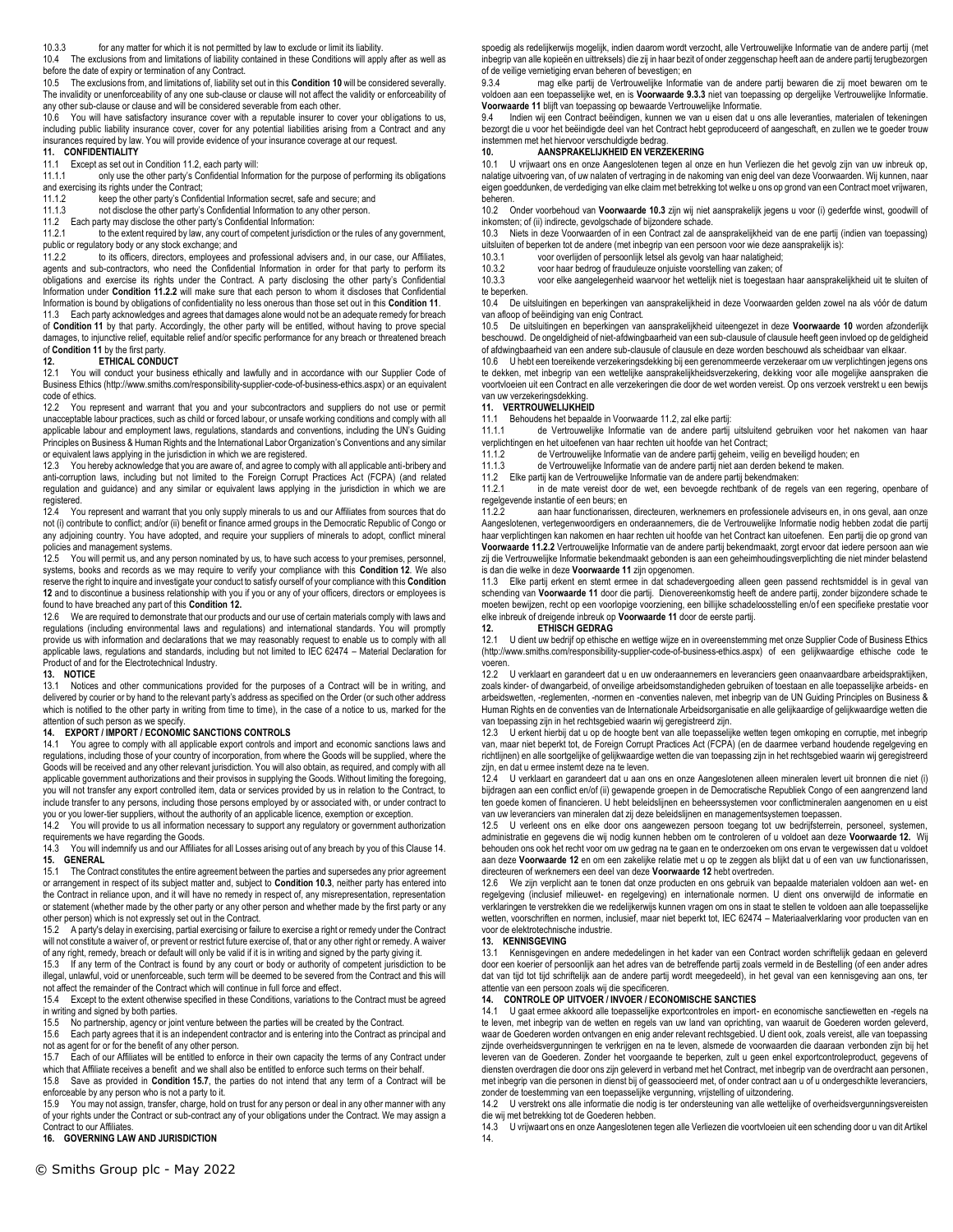10.3.3 for any matter for which it is not permitted by law to exclude or limit its liability.

10.4 The exclusions from and limitations of liability contained in these Conditions will apply after as well as before the date of expiry or termination of any Contract.<br>10.5 The exclusions from and limitations of liability so

10.5 The exclusions from, and limitations of, liability set out in this **Condition 10** will be considered severally. The invalidity or unenforceability of any one sub-clause or clause will not affect the validity or enforceability of any other sub-clause or clause and will be considered severable from each other.

10.6 You will have satisfactory insurance cover with a reputable insurer to cover your obligations to us, including public liability insurance cover, cover for any potential liabilities arising from a Contract and any insurances required by law. You will provide evidence of your insurance coverage at our request.

# **11. CONFIDENTIALITY**

11.1 Except as set out in Condition 11.2, each party will: only use the other party's Confidential Information for the purpose of performing its obligations and exercising its rights under the Contract;

11.1.2 keep the other party's Confidential Information secret, safe and secure; and<br>11.1.3 not disclose the other party's Confidential Information to any other person.

not disclose the other party's Confidential Information to any other person.

11.2 Each party may disclose the other party's Confidential Information:

to the extent required by law, any court of competent jurisdiction or the rules of any government, public or regulatory body or any stock exchange; and

11.2.2 to its officers, directors, employees and professional advisers and, in our case, our Affiliates, agents and sub-contractors, who need the Confidential Information in order for that party to perform its obligations and exercise its rights under the Contract. A party disclosing the other party's Confidential Information under **Condition 11.2.2** will make sure that each person to whom it discloses that Confidential Information is bound by obligations of confidentiality no less onerous than those set out in this **Condition 11**.

11.3 Each party acknowledges and agrees that damages alone would not be an adequate remedy for breach of **Condition 11** by that party. Accordingly, the other party will be entitled, without having to prove special damages, to injunctive relief, equitable relief and/or specific performance for any breach or threatened breach of **Condition 11** by the first party.

#### **12. ETHICAL CONDUCT**

12.1 You will conduct your business ethically and lawfully and in accordance with our Supplier Code of Business Ethics (http://www.smiths.com/responsibility-supplier-code-of-business-ethics.aspx) or an equivalent code of ethics.

12.2 You represent and warrant that you and your subcontractors and suppliers do not use or permit unacceptable labour practices, such as child or forced labour, or unsafe working conditions and comply with all applicable labour and employment laws, regulations, standards and conventions, including the UN's Guiding Principles on Business & Human Rights and the International Labor Organization's Conventions and any similar or equivalent laws applying in the jurisdiction in which we are registered.

12.3 You hereby acknowledge that you are aware of, and agree to comply with all applicable anti-bribery and anti-corruption laws, including but not limited to the Foreign Corrupt Practices Act (FCPA) (and related regulation and guidance) and any similar or equivalent laws applying in the jurisdiction in which we are registered.

12.4 You represent and warrant that you only supply minerals to us and our Affiliates from sources that do not (i) contribute to conflict; and/or (ii) benefit or finance armed groups in the Democratic Republic of Congo or any adjoining country. You have adopted, and require your suppliers of minerals to adopt, conflict mineral policies and management systems.

12.5 You will permit us, and any person nominated by us, to have such access to your premises, personnel, systems, books and records as we may require to verify your compliance with this **Condition 12**. We also reserve the right to inquire and investigate your conduct to satisfy ourself of your compliance with this **Condition 12** and to discontinue a business relationship with you if you or any of your officers, directors or employees is found to have breached any part of this **Condition 12.** 

12.6 We are required to demonstrate that our products and our use of certain materials comply with laws and regulations (including environmental laws and regulations) and international standards. You will promptly provide us with information and declarations that we may reasonably request to enable us to comply with all applicable laws, regulations and standards, including but not limited to IEC 62474 – Material Declaration for Product of and for the Electrotechnical Industry.

## **13. NOTICE**

13.1 Notices and other communications provided for the purposes of a Contract will be in writing, and delivered by courier or by hand to the relevant party's address as specified on the Order (or such other address which is notified to the other party in writing from time to time), in the case of a notice to us, marked for the attention of such person as we specify.

#### **14. EXPORT / IMPORT / ECONOMIC SANCTIONS CONTROLS**

14.1 You agree to comply with all applicable export controls and import and economic sanctions laws and regulations, including those of your country of incorporation, from where the Goods will be supplied, where the Goods will be received and any other relevant jurisdiction. You will also obtain, as required, and comply with all applicable government authorizations and their provisos in supplying the Goods. Without limiting the foregoing, you will not transfer any export controlled item, data or services provided by us in relation to the Contract, to include transfer to any persons, including those persons employed by or associated with, or under contract to you or you lower-tier suppliers, without the authority of an applicable licence, exemption or exception.<br>14.2 You will provide to us all information necessary to supplicable licence, exemption or exception.

You will provide to us all information necessary to support any regulatory or government authorization requirements we have regarding the Goods.

14.3 You will indemnify us and our Affiliates for all Losses arising out of any breach by you of this Clause 14. **15. GENERAL**

15.1 The Contract constitutes the entire agreement between the parties and supersedes any prior agreement or arrangement in respect of its subject matter and, subject to **Condition 10.3**, neither party has entered into the Contract in reliance upon, and it will have no remedy in respect of, any misrepresentation, representation or statement (whether made by the other party or any other person and whether made by the first party or any other person) which is not expressly set out in the Contract.

15.2 A party's delay in exercising, partial exercising or failure to exercise a right or remedy under the Contract will not constitute a waiver of, or prevent or restrict future exercise of, that or any other right or remedy. A waiver

of any right, remedy, breach or default will only be valid if it is in writing and signed by the party giving it.<br>15.3 If any term of the Contract is found by any court or body or authority of competent iurisdiction If any term of the Contract is found by any court or body or authority of competent jurisdiction to be illegal, unlawful, void or unenforceable, such term will be deemed to be severed from the Contract and this will not affect the remainder of the Contract which will continue in full force and effect.

15.4 Except to the extent otherwise specified in these Conditions, variations to the Contract must be agreed in writing and signed by both parties.

15.5 No partnership, agency or joint venture between the parties will be created by the Contract. Each party agrees that it is an independent contractor and is entering into the Contract as principal and

not as agent for or for the benefit of any other person. 15.7 Each of our Affiliates will be entitled to enforce in their own capacity the terms of any Contract under

which that Affiliate receives a benefit and we shall also be entitled to enforce such terms on their behalf.

15.8 Save as provided in **Condition 15.7**, the parties do not intend that any term of a Contract will be enforceable by any person who is not a party to it.

15.9 You may not assign, transfer, charge, hold on trust for any person or deal in any other manner with any of your rights under the Contract or sub-contract any of your obligations under the Contract. We may assign a Contract to our Affiliates.

**16. GOVERNING LAW AND JURISDICTION**

spoedig als redelijkerwijs mogelijk, indien daarom wordt verzocht, alle Vertrouwelijke Informatie van de andere partij (met inbegrip van alle kopieën en uittreksels) die zij in haar bezit of onder zeggenschap heeft aan de andere partij terugbezorgen of de veilige vernietiging ervan beheren of bevestigen; en<br>9.3.4 mag elke partij de Vertrouwelijke Informat

mag elke partij de Vertrouwelijke Informatie van de andere partij bewaren die zij moet bewaren om te voldoen aan een toepasselijke wet, en is **Voorwaarde 9.3.3** niet van toepassing op dergelijke Vertrouwelijke Informatie. **Voorwaarde 11** blijft van toepassing op bewaarde Vertrouwelijke Informatie.

9.4 Indien wij een Contract beëindigen, kunnen we van u eisen dat u ons alle leveranties, materialen of tekeningen bezorgt die u voor het beëindigde deel van het Contract hebt geproduceerd of aangeschaft, en zullen we te goeder trouw instemmen met het hiervoor verschuldigde bedrag.

# **10. AANSPRAKELIJKHEID EN VERZEKERING**

10.1 U vrijwaart ons en onze Aangeslotenen tegen al onze en hun Verliezen die het gevolg zijn van uw inbreuk op, nalatige uitvoering van, of uw nalaten of vertraging in de nakoming van enig deel van deze Voorwaarden. Wij kunnen, naar eigen goeddunken, de verdediging van elke claim met betrekking tot welke u ons op grond van een Contract moet vrijwaren, beheren.

10.2 Onder voorbehoud van **Voorwaarde 10.3** zijn wij niet aansprakelijk jegens u voor (i) gederfde winst, goodwill of inkomsten; of (ii) indirecte, gevolgschade of bijzondere schade.

10.3 Niets in deze Voorwaarden of in een Contract zal de aansprakelijkheid van de ene partij (indien van toepassing) uitsluiten of beperken tot de andere (met inbegrip van een persoon voor wie deze aansprakelijk is):

10.3.1 voor overlijden of persoonlijk letsel als gevolg van haar nalatigheid;

10.3.2 voor haar bedrog of frauduleuze onjuiste voorstelling van zaken; of

10.3.3 voor elke aangelegenheid waarvoor het wettelijk niet is toegestaan haar aansprakelijkheid uit te sluiten of te beperken.

10.4 De uitsluitingen en beperkingen van aansprakelijkheid in deze Voorwaarden gelden zowel na als vóór de datum van afloop of beëindiging van enig Contract.

10.5 De uitsluitingen en beperkingen van aansprakelijkheid uiteengezet in deze **Voorwaarde 10** worden afzonderlijk beschouwd. De ongeldigheid of niet-afdwingbaarheid van een sub-clausule of clausule heeft geen invloed op de geldigheid of afdwingbaarheid van een andere sub-clausule of clausule en deze worden beschouwd als scheidbaar van elkaar.

10.6 U hebt een toereikende verzekeringsdekking bij een gerenommeerde verzekeraar om uw verplichtingen jegens ons te dekken, met inbegrip van een wettelijke aansprakelijkheidsverzekering, dekking voor alle mogelijke aanspraken die voortvloeien uit een Contract en alle verzekeringen die door de wet worden vereist. Op ons verzoek verstrekt u een bewijs van uw verzekeringsdekking.

### **11. VERTROUWELIJKHEID**

11.1 Behoudens het bepaalde in Voorwaarde 11.2, zal elke partij:<br>11.1.1 de Vertrouwelijke Informatie van de andere partij

de Vertrouwelijke Informatie van de andere partij uitsluitend gebruiken voor het nakomen van haar verplichtingen en het uitoefenen van haar rechten uit hoofde van het Contract;

11.1.2 de Vertrouwelijke Informatie van de andere partij geheim, veilig en beveiligd houden; en

11.1.3 de Vertrouwelijke Informatie van de andere partij niet aan derden bekend te maken.

11.2 Elke partij kan de Vertrouwelijke Informatie van de andere partij bekendmaken:

in de mate vereist door de wet, een bevoegde rechtbank of de regels van een regering, openbare of regelgevende instantie of een beurs; en<br>1122

aan haar functionarissen, directeuren, werknemers en professionele adviseurs en, in ons geval, aan onze Aangeslotenen, vertegenwoordigers en onderaannemers, die de Vertrouwelijke Informatie nodig hebben zodat die partij haar verplichtingen kan nakomen en haar rechten uit hoofde van het Contract kan uitoefenen. Een partij die op grond van **Voorwaarde 11.2.2** Vertrouwelijke Informatie van de andere partij bekendmaakt, zorgt ervoor dat iedere persoon aan wie zij die Vertrouwelijke Informatie bekendmaakt gebonden is aan een geheimhoudingsverplichting die niet minder belastend is dan die welke in deze **Voorwaarde 11** zijn opgenomen.

11.3 Elke partij erkent en stemt ermee in dat schadevergoeding alleen geen passend rechtsmiddel is in geval van schending van **Voorwaarde 11** door die partij. Dienovereenkomstig heeft de andere partij, zonder bijzondere schade te moeten bewijzen, recht op een voorlopige voorziening, een billijke schadeloosstelling en/of een specifieke prestatie voor elke inbreuk of dreigende inbreuk op **Voorwaarde 11** door de eerste partij.

**12. ETHISCH GEDRAG**

U dient uw bedrijf op ethische en wettige wijze en in overeenstemming met onze Supplier Code of Business Ethics (http://www.smiths.com/responsibility-supplier-code-of-business-ethics.aspx) of een gelijkwaardige ethische code te voeren.

12.2 U verklaart en garandeert dat u en uw onderaannemers en leveranciers geen onaanvaardbare arbeidspraktijken, zoals kinder- of dwangarbeid, of onveilige arbeidsomstandigheden gebruiken of toestaan en alle toepasselijke arbeids- en arbeidswetten, -reglementen, -normen en -conventies naleven, met inbegrip van de UN Guiding Principles on Business & Human Rights en de conventies van de Internationale Arbeidsorganisatie en alle gelijkaardige of gelijkwaardige wetten die van toepassing zijn in het rechtsgebied waarin wij geregistreerd zijn.

12.3 U erkent hierbij dat u op de hoogte bent van alle toepasselijke wetten tegen omkoping en corruptie, met inbegrip van, maar niet beperkt tot, de Foreign Corrupt Practices Act (FCPA) (en de daarmee verband houdende regelgeving en richtlijnen) en alle soortgelijke of gelijkwaardige wetten die van toepassing zijn in het rechtsgebied waarin wij geregistreerd zijn, en dat u ermee instemt deze na te leven.

12.4 U verklaart en garandeert dat u aan ons en onze Aangeslotenen alleen mineralen levert uit bronnen die niet (i) bijdragen aan een conflict en/of (ii) gewapende groepen in de Democratische Republiek Congo of een aangrenzend land ten goede komen of financieren. U hebt beleidslijnen en beheerssystemen voor conflictmineralen aangenomen en u eist van uw leveranciers van mineralen dat zij deze beleidslijnen en managementsystemen toepassen.

12.5 U verleent ons en elke door ons aangewezen persoon toegang tot uw bedrijfsterrein, personeel, systemen, administratie en gegevens die wij nodig kunnen hebben om te controleren of u voldoet aan deze **Voorwaarde 12.** Wij behouden ons ook het recht voor om uw gedrag na te gaan en te onderzoeken om ons ervan te vergewissen dat u voldoet aan deze **Voorwaarde 12** en om een zakelijke relatie met u op te zeggen als blijkt dat u of een van uw functionarissen, directeuren of werknemers een deel van deze **Voorwaarde 12** hebt overtreden.

12.6 We zijn verplicht aan te tonen dat onze producten en ons gebruik van bepaalde materialen voldoen aan wet- en regelgeving (inclusief milieuwet- en regelgeving) en internationale normen. U dient ons onverwijld de informatie en verklaringen te verstrekken die we redelijkerwijs kunnen vragen om ons in staat te stellen te voldoen aan alle toepasselijke wetten, voorschriften en normen, inclusief, maar niet beperkt tot, IEC 62474 – Materiaalverklaring voor producten van en voor de elektrotechnische industrie.

#### **13. KENNISGEVING**

13.1 Kennisgevingen en andere mededelingen in het kader van een Contract worden schriftelijk gedaan en geleverd door een koerier of persoonlijk aan het adres van de betreffende partij zoals vermeld in de Bestelling (of een ander adres dat van tijd tot tijd schriftelijk aan de andere partij wordt meegedeeld), in het geval van een kennisgeving aan ons, ter attentie van een persoon zoals wij die specificeren.

## **14. CONTROLE OP UITVOER / INVOER / ECONOMISCHE SANCTIES**

14.1 U gaat ermee akkoord alle toepasselijke exportcontroles en import- en economische sanctiewetten en -regels na te leven, met inbegrip van de wetten en regels van uw land van oprichting, van waaruit de Goederen worden geleverd, waar de Goederen worden ontvangen en enig ander relevant rechtsgebied. U dient ook, zoals vereist, alle van toepassing zijnde overheidsvergunningen te verkrijgen en na te leven, alsmede de voorwaarden die daaraan verbonden zijn bij het leveren van de Goederen. Zonder het voorgaande te beperken, zult u geen enkel exportcontroleproduct, gegevens of diensten overdragen die door ons zijn geleverd in verband met het Contract, met inbegrip van de overdracht aan personen, met inbegrip van die personen in dienst bij of geassocieerd met, of onder contract aan u of u ondergeschikte leveranciers, zonder de toestemming van een toepasselijke vergunning, vrijstelling of uitzondering.

14.2 U verstrekt ons alle informatie die nodig is ter ondersteuning van alle wettelijke of overheidsvergunningsvereisten die wij met betrekking tot de Goederen hebben.

14.3 U vrijwaart ons en onze Aangeslotenen tegen alle Verliezen die voortvloeien uit een schending door u van dit Artikel 14.